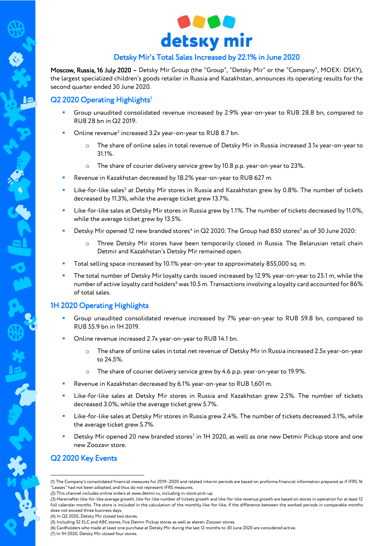

# Detsky Mir's Total Sales Increased by 22.1% in June 2020

Moscow, Russia, 16 July 2020 – Detsky Mir Group (the "Group", "Detsky Mir" or the "Company", MOEX: DSKY), the largest specialized children's goods retailer in Russia and Kazakhstan, announces its operating results for the second quarter ended 30 June 2020.

# Q2 2020 Operating Highlights<sup>1</sup>

- Group unaudited consolidated revenue increased by 2.9% year-on-year to RUB 28.8 bn, compared to RUB 28 bn in Q2 2019.
- $\blacksquare$  Online revenue<sup>2</sup> increased 3.2x year-on-year to RUB 8.7 bn.
	- o The share of online sales in total revenue of Detsky Mir in Russia increased 3.1x year-on-year to 31.1%.
	- o The share of courier delivery service grew by 10.8 p.p. year-on-year to 23%.
- Revenue in Kazakhstan decreased by 18.2% year-on-year to RUB 627 m.
- **EXECTS:** Like-for-like sales<sup>3</sup> at Detsky Mir stores in Russia and Kazakhstan grew by 0.8%. The number of tickets decreased by 11.3%, while the average ticket grew 13.7%.
- Like-for-like sales at Detsky Mir stores in Russia grew by 1.1%. The number of tickets decreased by 11.0%, while the average ticket grew by 13.5%.
- Detsky Mir opened 12 new branded stores<sup>4</sup> in Q2 2020. The Group had 850 stores<sup>5</sup> as of 30 June 2020:
	- Three Detsky Mir stores have been temporarily closed in Russia. The Belarusian retail chain Detmir and Kazakhstan's Detsky Mir remained open.
- Total selling space increased by 10.1% year-on-year to approximately 855,000 sq. m.
- The total number of Detsky Mir loyalty cards issued increased by 12.9% year-on-year to 25.1 m, while the number of active loyalty card holders<sup>6</sup> was 10.5 m. Transactions involving a loyalty card accounted for 86% of total sales.

### 1H 2020 Operating Highlights

- Group unaudited consolidated revenue increased by 7% year-on-year to RUB 59.8 bn, compared to RUB 55.9 bn in 1H 2019.
- Online revenue increased 2.7x year-on-year to RUB 14.1 bn.
	- The share of online sales in total net revenue of Detsky Mir in Russia increased 2.5x year-on-year to 24.5%.
	- o The share of courier delivery service grew by 4.6 p.p. year-on-year to 19.9%.
- Revenue in Kazakhstan decreased by 6.1% year-on-year to RUB 1,601 m.
- Like-for-like sales at Detsky Mir stores in Russia and Kazakhstan grew 2.5%. The number of tickets decreased 3.0%, while the average ticket grew 5.7%.
- Like-for-like sales at Detsky Mir stores in Russia grew 2.4%. The number of tickets decreased 3.1%, while the average ticket grew 5.7%.
- **Detsky Mir opened 20 new branded stores<sup>7</sup> in 1H 2020, as well as one new Detmir Pickup store and one** new Zoozavr store.

## Q2 2020 Key Events

<u>.</u>

(4) In Q2 2020, Detsky Mir closed two stores.

(6) Cardholders who made at least one purchase at Detsky Mir during the last 12 months to 30 June 2020 are considered active.

<sup>(1)</sup> The Company's consolidated financial measures for 2019–2020 and related interim periods are based on proforma financial information prepared as if IFRS 16 "Leases" had not been adopted, and thus do not represent IFRS measures.

<sup>(2)</sup> This channel includes online orders at [www.detmir.ru,](http://www.detmir.ru/) including in-store pick-up.

<sup>(3)</sup> Hereinafter like-for-like average growth, like-for-like number of tickets growth and like-for-like revenue growth are based on stores in operation for at least 12 full calendar months. The store is included in the calculation of the monthly like-for-like, if the difference between the worked periods in comparable months does not exceed three business days.

<sup>(5)</sup> Including 52 ELC and ABC stores, five Detmir Pickup stores as well as eleven Zoozavr stores.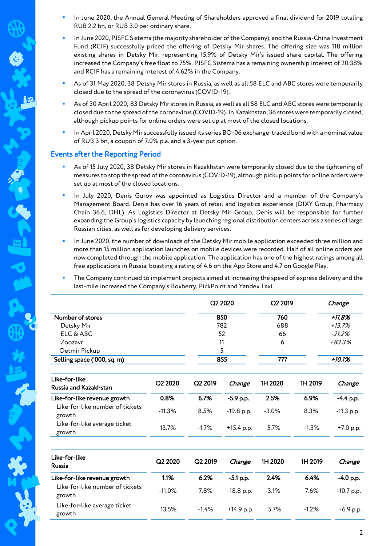- In June 2020, the Annual General Meeting of Shareholders approved a final dividend for 2019 totaling RUB 2.2 bn, or RUB 3.0 per ordinary share.
- In June 2020, PJSFC Sistema (the majority shareholder of the Company), and the Russia-China Investment Fund (RCIF) successfully priced the offering of Detsky Mir shares. The offering size was 118 million existing shares in Detsky Mir, representing 15.9% of Detsky Mir's issued share capital. The offering increased the Company's free float to 75%. PJSFC Sistema has a remaining ownership interest of 20.38% and RCIF has a remaining interest of 4.62% in the Company.
- As of 31 May 2020, 38 Detsky Mir stores in Russia, as well as all 58 ELC and ABC stores were temporarily closed due to the spread of the coronavirus (COVID-19).
- As of 30 April 2020, 83 Detsky Mir stores in Russia, as well as all 58 ELC and ABC stores were temporarily closed due to the spread of the coronavirus (COVID-19). In Kazakhstan, 36 stores were temporarily closed, although pickup points for online orders were set up at most of the closed locations.
- In April 2020, Detsky Mir successfully issued its series BО-06 exchange-traded bond with a nominal value of RUB 3 bn, a coupon of 7.0% p.a. and a 3-year put option.

#### Events after the Reporting Period

lø

- As of 15 July 2020, 38 Detsky Mir stores in Kazakhstan were temporarily closed due to the tightening of measures to stop the spread of the coronavirus (COVID-19), although pickup points for online orders were set up at most of the closed locations.
- In July 2020, Denis Gurov was appointed as Logistics Director and a member of the Company's Management Board. Denis has over 16 years of retail and logistics experience (DIXY Group, Pharmacy Chain 36.6, DHL). As Logistics Director at Detsky Mir Group, Denis will be responsible for further expanding the Group's logistics capacity by launching regional distribution centers across a series of large Russian cities, as well as for developing delivery services.
- In June 2020, the number of downloads of the Detsky Mir mobile application exceeded three million and more than 15 million application launches on mobile devices were recorded. Half of all online orders are now completed through the mobile application. The application has one of the highest ratings among all free applications in Russia, boasting a rating of 4.6 on the App Store and 4.7 on Google Play.
- The Company continued to implement projects aimed at increasing the speed of express delivery and the last-mile increased the Company's Boxberry, PickPoint and Yandex.Taxi.

|                                        |                     | Q2 2020             |             | Q2 2019  |         | Change       |  |
|----------------------------------------|---------------------|---------------------|-------------|----------|---------|--------------|--|
| Number of stores                       |                     |                     | 850         | 760      |         | $+11.8%$     |  |
| Detsky Mir                             |                     | 782                 |             | 688      |         | $+13.7%$     |  |
| ELC & ABC                              |                     | 52                  |             | 66       |         | $-21.2%$     |  |
| Zoozavr                                |                     | 11                  |             | 6        |         | +83.3%       |  |
| Detmir Pickup                          |                     | 5                   |             |          |         |              |  |
| Selling space ('000, sq. m)            |                     | 855                 |             | 777      |         | $+10.1%$     |  |
|                                        |                     |                     |             |          |         |              |  |
| Like-for-like<br>Russia and Kazakhstan | Q <sub>2</sub> 2020 | Q <sub>2</sub> 2019 | Change      | 1H 2020  | 1H 2019 | Change       |  |
| Like-for-like revenue growth           | 0.8%                | 6.7%                | $-5.9$ p.p. | 2.5%     | 6.9%    | $-4.4$ p.p.  |  |
| Like-for-like number of tickets        | $-11.3%$            | 8.5%                | -19.8 p.p.  | $-3.0\%$ | 8.3%    | $-11.3$ p.p. |  |
| growth                                 |                     |                     |             |          |         |              |  |

| Like-for-like<br>Russia                   | Q2 2020  | Q <sub>2</sub> 2019 | Change       | 1H 2020 | 1H 2019 | Change       |
|-------------------------------------------|----------|---------------------|--------------|---------|---------|--------------|
| Like-for-like revenue growth              | 1.1%     | 6.2%                | $-5.1$ p.p.  | 2.4%    | 6.4%    | $-4.0$ p.p.  |
| Like-for-like number of tickets<br>growth | $-11.0%$ | 7.8%                | $-18.8$ p.p. | $-3.1%$ | 7.6%    | $-10.7$ p.p. |
| Like-for-like average ticket<br>growth    | 13.5%    | $-1.4%$             | $+14.9$ p.p. | 5.7%    | $-1.2%$ | $+6.9$ p.p.  |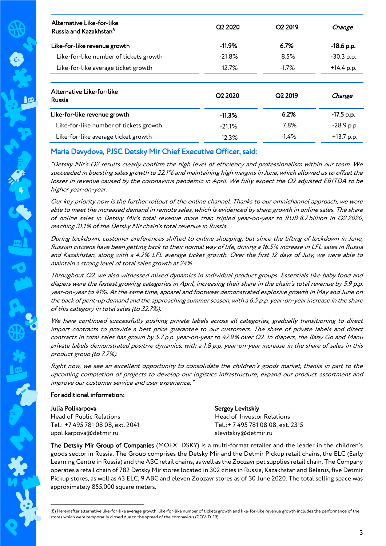| Alternative Like-for-like<br>Russia and Kazakhstan <sup>8</sup> | Q2 2020  | Q <sub>2</sub> 2019 | Change       |
|-----------------------------------------------------------------|----------|---------------------|--------------|
| Like-for-like revenue growth                                    | $-11.9%$ | 6.7%                | $-18.6$ p.p. |
| Like-for-like number of tickets growth                          | $-21.8%$ | 8.5%                | $-30.3$ p.p. |
| Like-for-like average ticket growth                             | 12.7%    | $-1.7\%$            | $+14.4$ p.p. |
| Alternative Like-for-like<br><b>Russia</b>                      | Q2 2020  | Q <sub>2</sub> 2019 | Change       |
| Like-for-like revenue growth                                    | $-11.3%$ | 6.2%                | $-17.5$ p.p. |
| Like-for-like number of tickets growth                          | $-21.1%$ | 7.8%                | $-28.9$ p.p. |
| Like-for-like average ticket growth                             | 12.3%    | $-1.4%$             | $+13.7$ p.p. |

# Maria Davydova, PJSC Detsky Mir Chief Executive Officer, said:

"Detsky Mir's Q2 results clearly confirm the high level of efficiency and professionalism within our team. We succeeded in boosting sales growth to 22.1% and maintaining high margins in June, which allowed us to offset the losses in revenue caused by the coronavirus pandemic in April. We fully expect the Q2 adjusted EBITDA to be higher year-on-year.

Our key priority now is the further rollout of the online channel. Thanks to our omnichannel approach, we were able to meet the increased demand in remote sales, which is evidenced by sharp growth in online sales. The share of online sales in Detsky Mir's total revenue more than tripled year-on-year to RUB 8.7 billion in Q2 2020, reaching 31.1% of the Detsky Mir chain's total revenue in Russia.

During lockdown, customer preferences shifted to online shopping, but since the lifting of lockdown in June, Russian citizens have been getting back to their normal way of life, driving a 16.5% increase in LFL sales in Russia and Kazakhstan, along with a 4.2% LFL average ticket growth. Over the first 12 days of July, we were able to maintain a strong level of total sales growth at 24%.

Throughout Q2, we also witnessed mixed dynamics in individual product groups. Essentials like baby food and diapers were the fastest growing categories in April, increasing their share in the chain's total revenue by 5.9 p.p. year-on-year to 41%. At the same time, apparel and footwear demonstrated explosive growth in May and June on the back of pent-up demand and the approaching summer season, with a 6.5 p.p. year-on-year increase in the share of this category in total sales (to 32.7%).

We have continued successfully pushing private labels across all categories, gradually transitioning to direct import contracts to provide a best price guarantee to our customers. The share of private labels and direct contracts in total sales has grown by 5.7 p.p. year-on-year to 47.9% over Q2. In diapers, the Baby Go and Manu private labels demonstrated positive dynamics, with a 1.8 p.p. year-on-year increase in the share of sales in this product group (to 7.7%).

Right now, we see an excellent opportunity to consolidate the children's goods market, thanks in part to the upcoming completion of projects to develop our logistics infrastructure, expand our product assortment and improve our customer service and user experience."

#### For additional information:

1

| Julia Polikarpova                 | Sergey Levitskiy                  |
|-----------------------------------|-----------------------------------|
| Head of Public Relations          | Head of Investor Relations        |
| Tel.: +7 495 781 08 08, ext. 2041 | Tel.:+ 7 495 781 08 08. ext. 2315 |
| upolikarpova@detmir.ru            | slevitskiy@detmir.ru              |

The Detsky Mir Group of Companies (MOEX: DSKY) is a multi-format retailer and the leader in the children's goods sector in Russia. The Group comprises the Detsky Mir and the Detmir Pickup retail chains, the ELC (Early Learning Centre in Russia) and the ABC retail chains, as well as the Zoozavr pet supplies retail chain. The Company operates a retail chain of 782 Detsky Mir stores located in 302 cities in Russia, Kazakhstan and Belarus, five Detmir Pickup stores, as well as 43 ELC, 9 ABC and eleven Zoozavr stores as of 30 June 2020. The total selling space was approximately 855,000 square meters.

<sup>(8)</sup> Hereinafter alternative like-for-like average growth, like-for-like number of tickets growth and like-for-like revenue growth includes the performance of the stores which were temporarily closed due to the spread of the coronavirus (COVID-19).